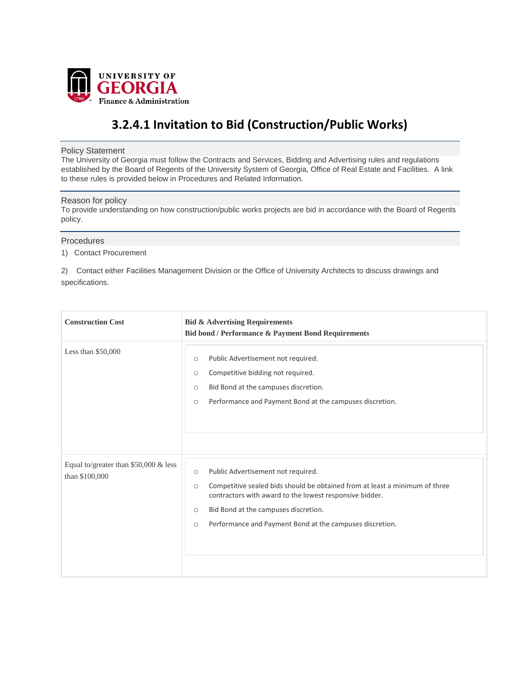

# **3.2.4.1 Invitation to Bid (Construction/Public Works)**

#### Policy Statement

The University of Georgia must follow the Contracts and Services, Bidding and Advertising rules and regulations established by the Board of Regents of the University System of Georgia, Office of Real Estate and Facilities. A link to these rules is provided below in Procedures and Related Information.

#### Reason for policy

To provide understanding on how construction/public works projects are bid in accordance with the Board of Regents policy.

#### Procedures

1) Contact Procurement

2) Contact either Facilities Management Division or the Office of University Architects to discuss drawings and specifications.

| <b>Construction Cost</b>                                  | <b>Bid &amp; Advertising Requirements</b><br><b>Bid bond / Performance &amp; Payment Bond Requirements</b>                                                                                                                                                                                                                   |
|-----------------------------------------------------------|------------------------------------------------------------------------------------------------------------------------------------------------------------------------------------------------------------------------------------------------------------------------------------------------------------------------------|
| Less than $$50,000$                                       | Public Advertisement not required.<br>$\circ$<br>Competitive bidding not required.<br>$\circ$<br>Bid Bond at the campuses discretion.<br>$\circ$<br>Performance and Payment Bond at the campuses discretion.<br>$\circ$                                                                                                      |
| Equal to/greater than $$50,000 \&$ less<br>than \$100,000 | Public Advertisement not required.<br>$\circ$<br>Competitive sealed bids should be obtained from at least a minimum of three<br>$\circ$<br>contractors with award to the lowest responsive bidder.<br>Bid Bond at the campuses discretion.<br>$\circ$<br>Performance and Payment Bond at the campuses discretion.<br>$\circ$ |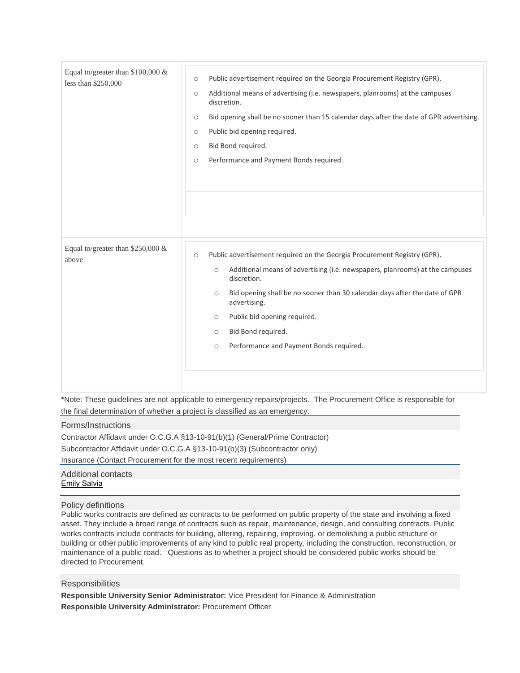| Equal to/greater than \$100,000 $&$<br>less than \$250,000 | Public advertisement required on the Georgia Procurement Registry (GPR).<br>$\circ$<br>Additional means of advertising (i.e. newspapers, planrooms) at the campuses<br>$\circ$<br>discretion.<br>Bid opening shall be no sooner than 15 calendar days after the date of GPR advertising.<br>$\circ$<br>Public bid opening required.<br>$\circ$<br>Bid Bond required.<br>$\circ$<br>Performance and Payment Bonds required.<br>$\circ$    |
|------------------------------------------------------------|------------------------------------------------------------------------------------------------------------------------------------------------------------------------------------------------------------------------------------------------------------------------------------------------------------------------------------------------------------------------------------------------------------------------------------------|
| Equal to/greater than \$250,000 &<br>above                 | Public advertisement required on the Georgia Procurement Registry (GPR).<br>$\circ$<br>Additional means of advertising (i.e. newspapers, planrooms) at the campuses<br>$\circ$<br>discretion.<br>Bid opening shall be no sooner than 30 calendar days after the date of GPR<br>$\circ$<br>advertising.<br>Public bid opening required.<br>$\circ$<br>Bid Bond required.<br>$\circ$<br>Performance and Payment Bonds required.<br>$\circ$ |

**\***Note: These guidelines are not applicable to emergency repairs/projects. The Procurement Office is responsible for the final determination of whether a project is classified as an emergency.

Forms/Instructions

Contractor Affidavit under O.C.G.A §13-10-91(b)(1) (General/Prime Contractor)

Subcontractor Affidavit under O.C.G.A §13-10-91(b)(3) (Subcontractor only)

Insurance (Contact Procurement for the most recent requirements)

Additional contacts [Emily Salvia](mailto:emily.riley@uga.edu)

Policy definitions

Public works contracts are defined as contracts to be performed on public property of the state and involving a fixed asset. They include a broad range of contracts such as repair, maintenance, design, and consulting contracts. Public works contracts include contracts for building, altering, repairing, improving, or demolishing a public structure or building or other public improvements of any kind to public real property, including the construction, reconstruction, or maintenance of a public road. Questions as to whether a project should be considered public works should be directed to Procurement.

#### **Responsibilities**

**Responsible University Senior Administrator:** Vice President for Finance & Administration **Responsible University Administrator:** Procurement Officer